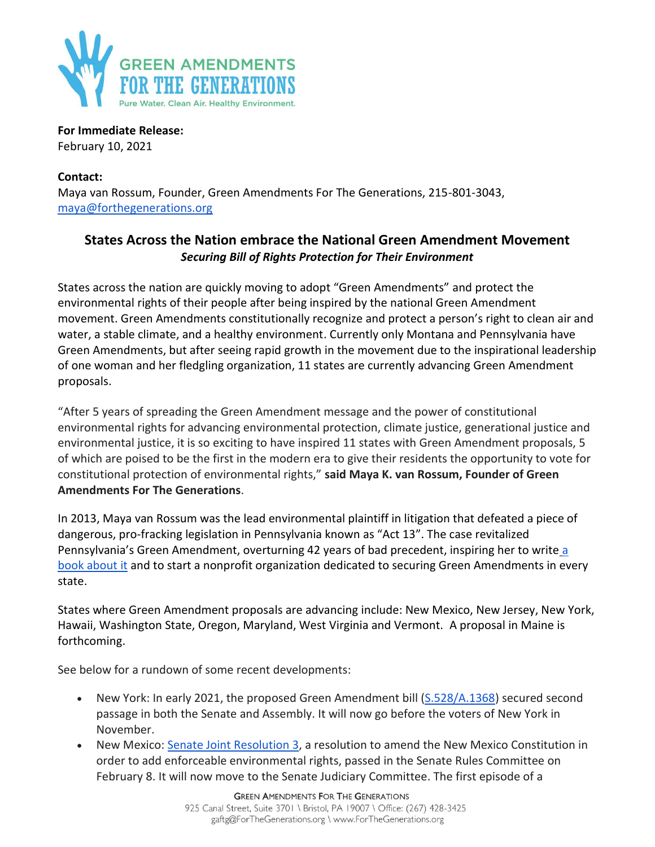

**For Immediate Release:** February 10, 2021

**Contact:** Maya van Rossum, Founder, Green Amendments For The Generations, 215-801-3043, [maya@forthegenerations.org](mailto:maya@forthegenerations.org)

## **States Across the Nation embrace the National Green Amendment Movement** *Securing Bill of Rights Protection for Their Environment*

States across the nation are quickly moving to adopt "Green Amendments" and protect the environmental rights of their people after being inspired by the national Green Amendment movement. Green Amendments constitutionally recognize and protect a person's right to clean air and water, a stable climate, and a healthy environment. Currently only Montana and Pennsylvania have Green Amendments, but after seeing rapid growth in the movement due to the inspirational leadership of one woman and her fledgling organization, 11 states are currently advancing Green Amendment proposals.

"After 5 years of spreading the Green Amendment message and the power of constitutional environmental rights for advancing environmental protection, climate justice, generational justice and environmental justice, it is so exciting to have inspired 11 states with Green Amendment proposals, 5 of which are poised to be the first in the modern era to give their residents the opportunity to vote for constitutional protection of environmental rights," **said Maya K. van Rossum, Founder of Green Amendments For The Generations**.

In 2013, Maya van Rossum was the lead environmental plaintiff in litigation that defeated a piece of dangerous, pro-fracking legislation in Pennsylvania known as "Act 13". The case revitalized Pennsylvania's Green Amendment, overturning 42 years of bad precedent, inspiring her to write [a](https://forthegenerations.org/the-green-amendment/)  [book about it](https://forthegenerations.org/the-green-amendment/) and to start a nonprofit organization dedicated to securing Green Amendments in every state.

States where Green Amendment proposals are advancing include: New Mexico, New Jersey, New York, Hawaii, Washington State, Oregon, Maryland, West Virginia and Vermont. A proposal in Maine is forthcoming.

See below for a rundown of some recent developments:

- New York: In early 2021, the proposed Green Amendment bill [\(S.528/A.1368\)](https://aboutblaw.com/U68) secured second passage in both the Senate and Assembly. It will now go before the voters of New York in November.
- New Mexico: [Senate Joint Resolution 3,](https://www.nmlegis.gov/Sessions/21%20Regular/resolutions/senate/SJR03.pdf) a resolution to amend the New Mexico Constitution in order to add enforceable environmental rights, passed in the Senate Rules Committee on February 8. It will now move to the Senate Judiciary Committee. The first episode of a